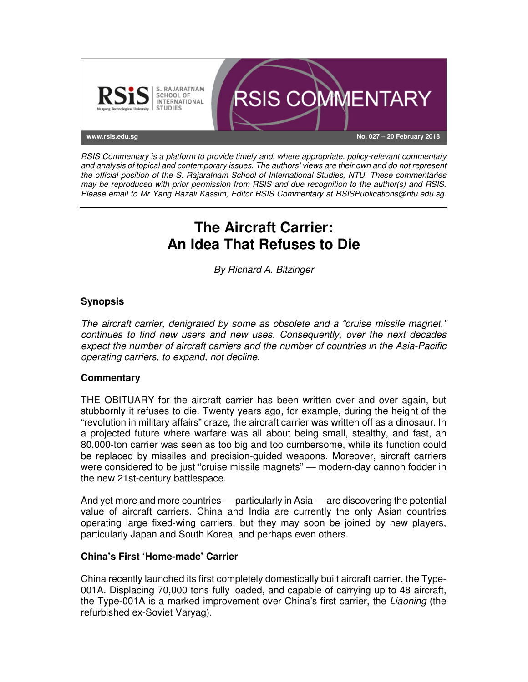

RSIS Commentary is a platform to provide timely and, where appropriate, policy-relevant commentary and analysis of topical and contemporary issues. The authors' views are their own and do not represent the official position of the S. Rajaratnam School of International Studies, NTU. These commentaries may be reproduced with prior permission from RSIS and due recognition to the author(s) and RSIS. Please email to Mr Yang Razali Kassim, Editor RSIS Commentary at RSISPublications@ntu.edu.sg.

# **The Aircraft Carrier: An Idea That Refuses to Die**

By Richard A. Bitzinger

## **Synopsis**

The aircraft carrier, denigrated by some as obsolete and a "cruise missile magnet," continues to find new users and new uses. Consequently, over the next decades expect the number of aircraft carriers and the number of countries in the Asia-Pacific operating carriers, to expand, not decline.

#### **Commentary**

THE OBITUARY for the aircraft carrier has been written over and over again, but stubbornly it refuses to die. Twenty years ago, for example, during the height of the "revolution in military affairs" craze, the aircraft carrier was written off as a dinosaur. In a projected future where warfare was all about being small, stealthy, and fast, an 80,000-ton carrier was seen as too big and too cumbersome, while its function could be replaced by missiles and precision-guided weapons. Moreover, aircraft carriers were considered to be just "cruise missile magnets" — modern-day cannon fodder in the new 21st-century battlespace.

And yet more and more countries — particularly in Asia — are discovering the potential value of aircraft carriers. China and India are currently the only Asian countries operating large fixed-wing carriers, but they may soon be joined by new players, particularly Japan and South Korea, and perhaps even others.

#### **China's First 'Home-made' Carrier**

China recently launched its first completely domestically built aircraft carrier, the Type-001A. Displacing 70,000 tons fully loaded, and capable of carrying up to 48 aircraft, the Type-001A is a marked improvement over China's first carrier, the Liaoning (the refurbished ex-Soviet Varyag).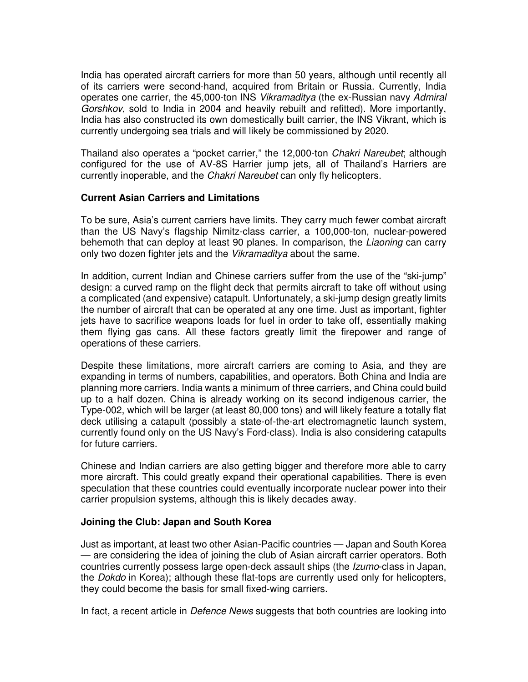India has operated aircraft carriers for more than 50 years, although until recently all of its carriers were second-hand, acquired from Britain or Russia. Currently, India operates one carrier, the 45,000-ton INS Vikramaditya (the ex-Russian navy Admiral Gorshkov, sold to India in 2004 and heavily rebuilt and refitted). More importantly, India has also constructed its own domestically built carrier, the INS Vikrant, which is currently undergoing sea trials and will likely be commissioned by 2020.

Thailand also operates a "pocket carrier," the 12,000-ton Chakri Nareubet; although configured for the use of AV-8S Harrier jump jets, all of Thailand's Harriers are currently inoperable, and the *Chakri Nareubet* can only fly helicopters.

### **Current Asian Carriers and Limitations**

To be sure, Asia's current carriers have limits. They carry much fewer combat aircraft than the US Navy's flagship Nimitz-class carrier, a 100,000-ton, nuclear-powered behemoth that can deploy at least 90 planes. In comparison, the *Liaoning* can carry only two dozen fighter jets and the Vikramaditya about the same.

In addition, current Indian and Chinese carriers suffer from the use of the "ski-jump" design: a curved ramp on the flight deck that permits aircraft to take off without using a complicated (and expensive) catapult. Unfortunately, a ski-jump design greatly limits the number of aircraft that can be operated at any one time. Just as important, fighter jets have to sacrifice weapons loads for fuel in order to take off, essentially making them flying gas cans. All these factors greatly limit the firepower and range of operations of these carriers.

Despite these limitations, more aircraft carriers are coming to Asia, and they are expanding in terms of numbers, capabilities, and operators. Both China and India are planning more carriers. India wants a minimum of three carriers, and China could build up to a half dozen. China is already working on its second indigenous carrier, the Type-002, which will be larger (at least 80,000 tons) and will likely feature a totally flat deck utilising a catapult (possibly a state-of-the-art electromagnetic launch system, currently found only on the US Navy's Ford-class). India is also considering catapults for future carriers.

Chinese and Indian carriers are also getting bigger and therefore more able to carry more aircraft. This could greatly expand their operational capabilities. There is even speculation that these countries could eventually incorporate nuclear power into their carrier propulsion systems, although this is likely decades away.

#### **Joining the Club: Japan and South Korea**

Just as important, at least two other Asian-Pacific countries — Japan and South Korea — are considering the idea of joining the club of Asian aircraft carrier operators. Both countries currently possess large open-deck assault ships (the Izumo-class in Japan, the Dokdo in Korea); although these flat-tops are currently used only for helicopters, they could become the basis for small fixed-wing carriers.

In fact, a recent article in *Defence News* suggests that both countries are looking into